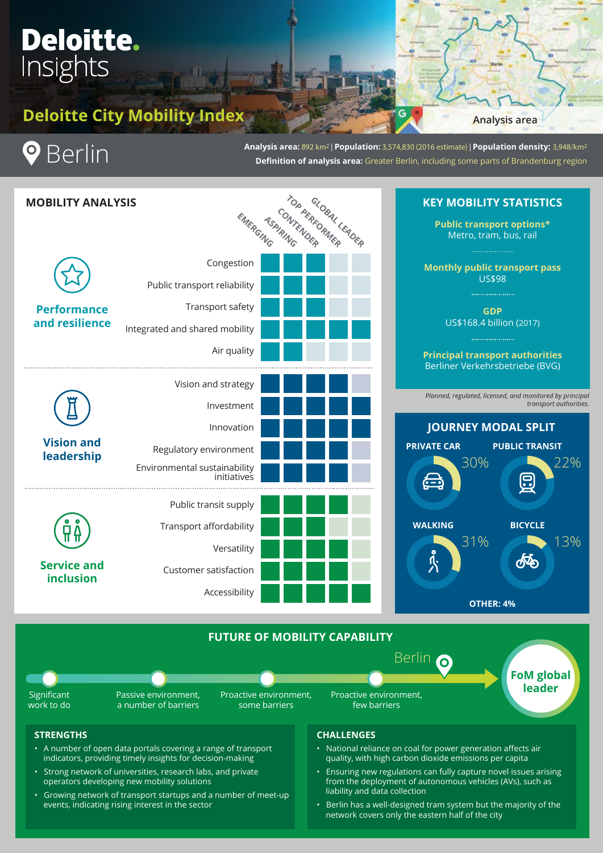# **Deloitte.** Insights

# **Deloitte City Mobility Index**

## **Analysis area**



**Analysis area:** 892 km2 | **Population:** 3,574,830 (2016 estimate) | **Population density:** 3,948/km2 **Definition of analysis area:** Greater Berlin, including some parts of Brandenburg region



Proactive environment, some barriers

**FoM global leader**

₼

*transport authorities.*

## **STRENGTHS**

Significant work to do

> • A number of open data portals covering a range of transport indicators, providing timely insights for decision-making

Passive environment, a number of barriers

- Strong network of universities, research labs, and private operators developing new mobility solutions
- Growing network of transport startups and a number of meet-up events, indicating rising interest in the sector

## **CHALLENGES**

Proactive environment, few barriers

- National reliance on coal for power generation affects air quality, with high carbon dioxide emissions per capita
- Ensuring new regulations can fully capture novel issues arising from the deployment of autonomous vehicles (AVs), such as liability and data collection
- Berlin has a well-designed tram system but the majority of the network covers only the eastern half of the city